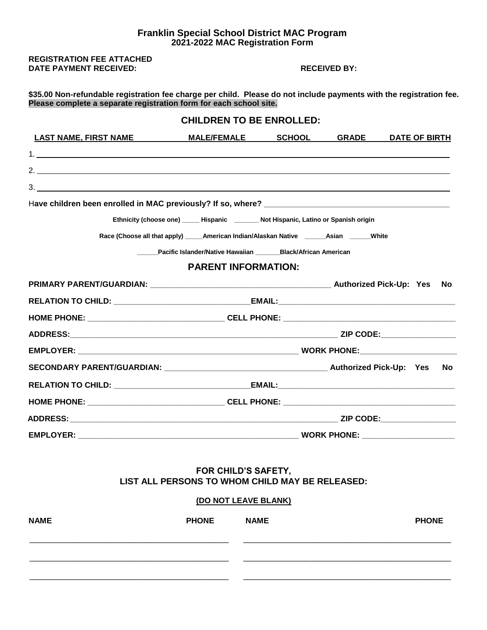### **Franklin Special School District MAC Program 2021-2022 MAC Registration Form**

**REGISTRATION FEE ATTACHED DATE PAYMENT RECEIVED: RECEIVED: RECEIVED BY:** 

**\$35.00 Non-refundable registration fee charge per child. Please do not include payments with the registration fee. Please complete a separate registration form for each school site.**

|                                                                                                                                                                                                                                                                                                                                                                                                                                                                        |                                                                                                | <b>CHILDREN TO BE ENROLLED:</b> |                     |                      |      |
|------------------------------------------------------------------------------------------------------------------------------------------------------------------------------------------------------------------------------------------------------------------------------------------------------------------------------------------------------------------------------------------------------------------------------------------------------------------------|------------------------------------------------------------------------------------------------|---------------------------------|---------------------|----------------------|------|
| LAST NAME, FIRST NAME MALE/FEMALE                                                                                                                                                                                                                                                                                                                                                                                                                                      |                                                                                                |                                 | <b>SCHOOL GRADE</b> | <b>DATE OF BIRTH</b> |      |
| $1.$ $\overline{\phantom{a}}$ $\overline{\phantom{a}}$ $\overline{\phantom{a}}$ $\overline{\phantom{a}}$ $\overline{\phantom{a}}$ $\overline{\phantom{a}}$ $\overline{\phantom{a}}$ $\overline{\phantom{a}}$ $\overline{\phantom{a}}$ $\overline{\phantom{a}}$ $\overline{\phantom{a}}$ $\overline{\phantom{a}}$ $\overline{\phantom{a}}$ $\overline{\phantom{a}}$ $\overline{\phantom{a}}$ $\overline{\phantom{a}}$ $\overline{\phantom{a}}$ $\overline{\phantom{a}}$ |                                                                                                |                                 |                     |                      |      |
| 2.                                                                                                                                                                                                                                                                                                                                                                                                                                                                     |                                                                                                |                                 |                     |                      |      |
| $3.$ $\overline{\phantom{a}}$                                                                                                                                                                                                                                                                                                                                                                                                                                          |                                                                                                |                                 |                     |                      |      |
|                                                                                                                                                                                                                                                                                                                                                                                                                                                                        |                                                                                                |                                 |                     |                      |      |
|                                                                                                                                                                                                                                                                                                                                                                                                                                                                        | Ethnicity (choose one) _____ Hispanic _______ Not Hispanic, Latino or Spanish origin           |                                 |                     |                      |      |
|                                                                                                                                                                                                                                                                                                                                                                                                                                                                        | Race (Choose all that apply) ______American Indian/Alaskan Native ________Asian _______White   |                                 |                     |                      |      |
|                                                                                                                                                                                                                                                                                                                                                                                                                                                                        | Pacific Islander/Native Hawaiian _______ Black/African American                                |                                 |                     |                      |      |
|                                                                                                                                                                                                                                                                                                                                                                                                                                                                        | <b>PARENT INFORMATION:</b>                                                                     |                                 |                     |                      |      |
|                                                                                                                                                                                                                                                                                                                                                                                                                                                                        |                                                                                                |                                 |                     |                      |      |
|                                                                                                                                                                                                                                                                                                                                                                                                                                                                        |                                                                                                |                                 |                     |                      |      |
|                                                                                                                                                                                                                                                                                                                                                                                                                                                                        |                                                                                                |                                 |                     |                      |      |
|                                                                                                                                                                                                                                                                                                                                                                                                                                                                        |                                                                                                |                                 |                     |                      |      |
|                                                                                                                                                                                                                                                                                                                                                                                                                                                                        |                                                                                                |                                 |                     |                      |      |
|                                                                                                                                                                                                                                                                                                                                                                                                                                                                        |                                                                                                |                                 |                     |                      | - No |
|                                                                                                                                                                                                                                                                                                                                                                                                                                                                        |                                                                                                |                                 |                     |                      |      |
|                                                                                                                                                                                                                                                                                                                                                                                                                                                                        |                                                                                                |                                 |                     |                      |      |
|                                                                                                                                                                                                                                                                                                                                                                                                                                                                        |                                                                                                |                                 |                     |                      |      |
|                                                                                                                                                                                                                                                                                                                                                                                                                                                                        |                                                                                                |                                 |                     |                      |      |
|                                                                                                                                                                                                                                                                                                                                                                                                                                                                        | FOR CHILD'S SAFETY.<br>LIST ALL PERSONS TO WHOM CHILD MAY BE RELEASED:<br>(DO NOT LEAVE BLANK) |                                 |                     |                      |      |
| <b>NAME</b>                                                                                                                                                                                                                                                                                                                                                                                                                                                            | <b>PHONE</b>                                                                                   | <b>NAME</b>                     |                     | <b>PHONE</b>         |      |
|                                                                                                                                                                                                                                                                                                                                                                                                                                                                        |                                                                                                |                                 |                     |                      |      |

\_\_\_\_\_\_\_\_\_\_\_\_\_\_\_\_\_\_\_\_\_\_\_\_\_\_\_\_\_\_\_\_\_\_\_\_\_\_\_\_\_\_\_\_\_ \_\_\_\_\_\_\_\_\_\_\_\_\_\_\_\_\_\_\_\_\_\_\_\_\_\_\_\_\_\_\_\_\_\_\_\_\_\_\_\_\_\_\_\_\_\_\_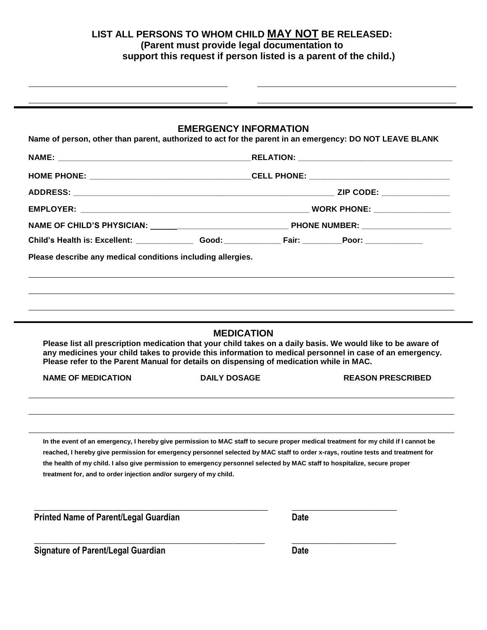# **LIST ALL PERSONS TO WHOM CHILD MAY NOT BE RELEASED: (Parent must provide legal documentation to support this request if person listed is a parent of the child.)**

## **EMERGENCY INFORMATION**

**Name of person, other than parent, authorized to act for the parent in an emergency: DO NOT LEAVE BLANK** 

|                                                                                                                      |                                          | Child's Health is: Excellent: ___________________Good: __________________________Poor: _____________                                                                                                                                                                                                                                                                                                |  |
|----------------------------------------------------------------------------------------------------------------------|------------------------------------------|-----------------------------------------------------------------------------------------------------------------------------------------------------------------------------------------------------------------------------------------------------------------------------------------------------------------------------------------------------------------------------------------------------|--|
| Please describe any medical conditions including allergies.                                                          |                                          |                                                                                                                                                                                                                                                                                                                                                                                                     |  |
|                                                                                                                      |                                          |                                                                                                                                                                                                                                                                                                                                                                                                     |  |
| Please refer to the Parent Manual for details on dispensing of medication while in MAC.<br><b>NAME OF MEDICATION</b> | <b>MEDICATION</b><br><b>DAILY DOSAGE</b> | Please list all prescription medication that your child takes on a daily basis. We would like to be aware of<br>any medicines your child takes to provide this information to medical personnel in case of an emergency.<br><b>REASON PRESCRIBED</b>                                                                                                                                                |  |
| treatment for, and to order injection and/or surgery of my child.                                                    |                                          | In the event of an emergency, I hereby give permission to MAC staff to secure proper medical treatment for my child if I cannot be<br>reached, I hereby give permission for emergency personnel selected by MAC staff to order x-rays, routine tests and treatment for<br>the health of my child. I also give permission to emergency personnel selected by MAC staff to hospitalize, secure proper |  |
| <b>Printed Name of Parent/Legal Guardian</b>                                                                         |                                          | <b>Date</b>                                                                                                                                                                                                                                                                                                                                                                                         |  |
| <b>Signature of Parent/Legal Guardian</b>                                                                            |                                          | <b>Date</b>                                                                                                                                                                                                                                                                                                                                                                                         |  |
|                                                                                                                      |                                          |                                                                                                                                                                                                                                                                                                                                                                                                     |  |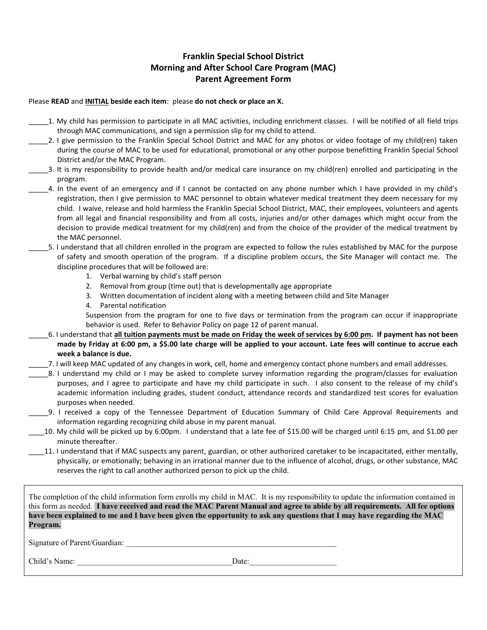## **Franklin Special School District Morning and After School Care Program (MAC) Parent Agreement Form**

### Please **READ** and **INITIAL beside each item**: please **do not check or place an X.**

- \_\_\_\_\_1. My child has permission to participate in all MAC activities, including enrichment classes. I will be notified of all field trips through MAC communications, and sign a permission slip for my child to attend.
- \_\_\_\_\_2. I give permission to the Franklin Special School District and MAC for any photos or video footage of my child(ren) taken during the course of MAC to be used for educational, promotional or any other purpose benefitting Franklin Special School District and/or the MAC Program.
- \_\_\_\_\_3. It is my responsibility to provide health and/or medical care insurance on my child(ren) enrolled and participating in the program.
- \_\_\_\_\_4. In the event of an emergency and if I cannot be contacted on any phone number which I have provided in my child's registration, then I give permission to MAC personnel to obtain whatever medical treatment they deem necessary for my child. I waive, release and hold harmless the Franklin Special School District, MAC, their employees, volunteers and agents from all legal and financial responsibility and from all costs, injuries and/or other damages which might occur from the decision to provide medical treatment for my child(ren) and from the choice of the provider of the medical treatment by the MAC personnel.
- \_\_\_\_\_5. I understand that all children enrolled in the program are expected to follow the rules established by MAC for the purpose of safety and smooth operation of the program. If a discipline problem occurs, the Site Manager will contact me. The discipline procedures that will be followed are:
	- 1. Verbal warning by child's staff person
	- 2. Removal from group (time out) that is developmentally age appropriate
	- 3. Written documentation of incident along with a meeting between child and Site Manager
	- 4. Parental notification

Suspension from the program for one to five days or termination from the program can occur if inappropriate behavior is used. Refer to Behavior Policy on page 12 of parent manual.

- \_\_\_\_\_6. I understand that **all tuition payments must be made on Friday the week of services by 6:00 pm. If payment has not been made by Friday at 6:00 pm, a \$5.00 late charge will be applied to your account. Late fees will continue to accrue each week a balance is due.**
- \_\_\_\_\_7. I will keep MAC updated of any changes in work, cell, home and emergency contact phone numbers and email addresses.
- \_\_\_\_\_8. I understand my child or I may be asked to complete survey information regarding the program/classes for evaluation purposes, and I agree to participate and have my child participate in such. I also consent to the release of my child's academic information including grades, student conduct, attendance records and standardized test scores for evaluation purposes when needed.
- \_\_\_\_\_9. I received a copy of the Tennessee Department of Education Summary of Child Care Approval Requirements and information regarding recognizing child abuse in my parent manual.
- \_\_\_\_10. My child will be picked up by 6:00pm. I understand that a late fee of \$15.00 will be charged until 6:15 pm, and \$1.00 per minute thereafter.
- 11. I understand that if MAC suspects any parent, guardian, or other authorized caretaker to be incapacitated, either mentally, physically, or emotionally; behaving in an irrational manner due to the influence of alcohol, drugs, or other substance, MAC reserves the right to call another authorized person to pick up the child.

The completion of the child information form enrolls my child in MAC. It is my responsibility to update the information contained in this form as needed. **I have received and read the MAC Parent Manual and agree to abide by all requirements. All fee options have been explained to me and I have been given the opportunity to ask any questions that I may have regarding the MAC Program.**

Signature of Parent/Guardian:

Child's Name: \_\_\_\_\_\_\_\_\_\_\_\_\_\_\_\_\_\_\_\_\_\_\_\_\_\_\_\_\_\_\_\_\_\_\_\_\_\_\_Date:\_\_\_\_\_\_\_\_\_\_\_\_\_\_\_\_\_\_\_\_\_\_